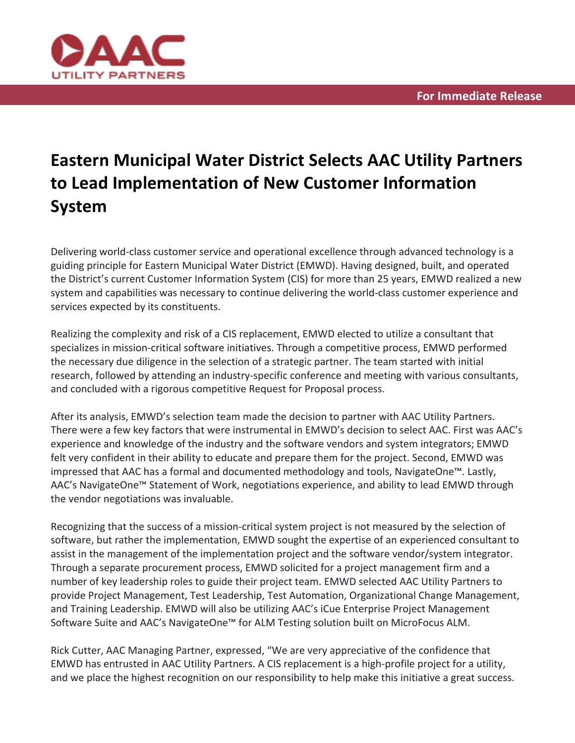

## **Eastern Municipal Water District Selects AAC Utility Partners to Lead Implementation of New Customer Information System**

Delivering world-class customer service and operational excellence through advanced technology is a guiding principle for Eastern Municipal Water District (EMWD). Having designed, built, and operated the District's current Customer Information System (CIS) for more than 25 years, EMWD realized a new system and capabilities was necessary to continue delivering the world-class customer experience and services expected by its constituents.

Realizing the complexity and risk of a CIS replacement, EMWD elected to utilize a consultant that specializes in mission-critical software initiatives. Through a competitive process, EMWD performed the necessary due diligence in the selection of a strategic partner. The team started with initial research, followed by attending an industry-specific conference and meeting with various consultants, and concluded with a rigorous competitive Request for Proposal process.

After its analysis, EMWD's selection team made the decision to partner with AAC Utility Partners. There were a few key factors that were instrumental in EMWD's decision to select AAC. First was AAC's experience and knowledge of the industry and the software vendors and system integrators; EMWD felt very confident in their ability to educate and prepare them for the project. Second, EMWD was impressed that AAC has a formal and documented methodology and tools, NavigateOne™. Lastly, AAC's NavigateOne™ Statement of Work, negotiations experience, and ability to lead EMWD through the vendor negotiations was invaluable.

Recognizing that the success of a mission-critical system project is not measured by the selection of software, but rather the implementation, EMWD sought the expertise of an experienced consultant to assist in the management of the implementation project and the software vendor/system integrator. Through a separate procurement process, EMWD solicited for a project management firm and a number of key leadership roles to guide their project team. EMWD selected AAC Utility Partners to provide Project Management, Test Leadership, Test Automation, Organizational Change Management, and Training Leadership. EMWD will also be utilizing AAC's iCue Enterprise Project Management Software Suite and AAC's NavigateOne™ for ALM Testing solution built on MicroFocus ALM.

Rick Cutter, AAC Managing Partner, expressed, "We are very appreciative of the confidence that EMWD has entrusted in AAC Utility Partners. A CIS replacement is a high-profile project for a utility, and we place the highest recognition on our responsibility to help make this initiative a great success.